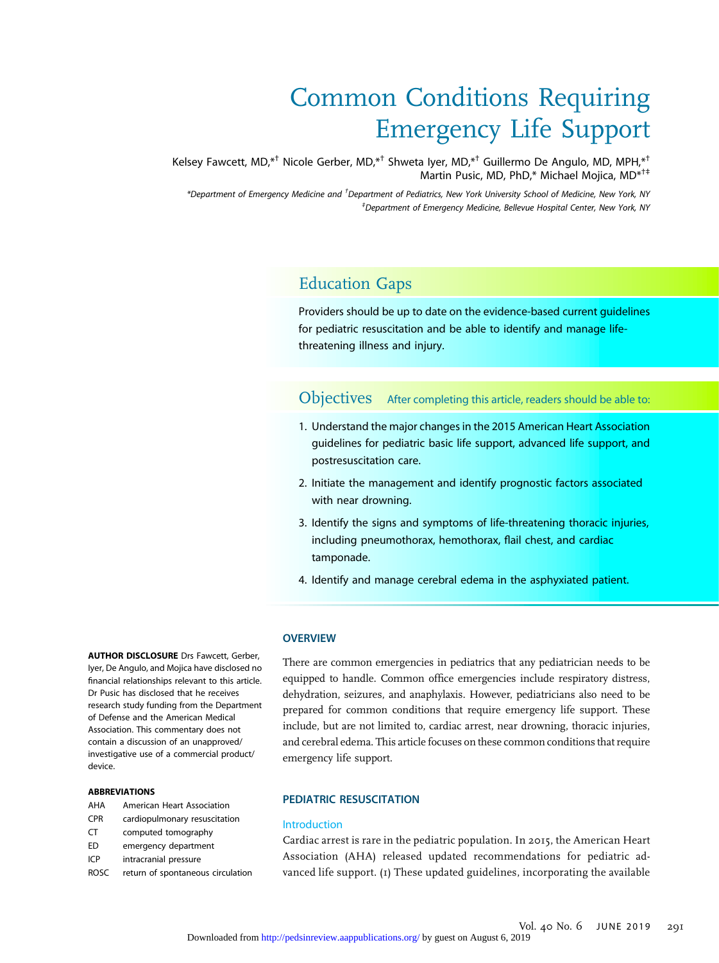# Common Conditions Requiring Emergency Life Support

Kelsey Fawcett, MD,\*<sup>†</sup> Nicole Gerber, MD,\*<sup>†</sup> Shweta Iyer, MD,\*<sup>†</sup> Guillermo De Angulo, MD, MPH,\*<sup>†</sup> Martin Pusic, MD, PhD,\* Michael Mojica, MD\*†‡

\*Department of Emergency Medicine and † Department of Pediatrics, New York University School of Medicine, New York, NY ‡ Department of Emergency Medicine, Bellevue Hospital Center, New York, NY

## Education Gaps

Providers should be up to date on the evidence-based current guidelines for pediatric resuscitation and be able to identify and manage lifethreatening illness and injury.

## Objectives After completing this article, readers should be able to:

- 1. Understand the major changes in the 2015 American Heart Association guidelines for pediatric basic life support, advanced life support, and postresuscitation care.
- 2. Initiate the management and identify prognostic factors associated with near drowning.
- 3. Identify the signs and symptoms of life-threatening thoracic injuries, including pneumothorax, hemothorax, flail chest, and cardiac tamponade.
- 4. Identify and manage cerebral edema in the asphyxiated patient.

## **OVERVIEW**

There are common emergencies in pediatrics that any pediatrician needs to be equipped to handle. Common office emergencies include respiratory distress, dehydration, seizures, and anaphylaxis. However, pediatricians also need to be prepared for common conditions that require emergency life support. These include, but are not limited to, cardiac arrest, near drowning, thoracic injuries, and cerebral edema. This article focuses on these common conditions that require emergency life support.

#### PEDIATRIC RESUSCITATION

#### Introduction

Cardiac arrest is rare in the pediatric population. In 2015, the American Heart Association (AHA) released updated recommendations for pediatric advanced life support. (1) These updated guidelines, incorporating the available

AUTHOR DISCLOSURE Drs Fawcett, Gerber, Iyer, De Angulo, and Mojica have disclosed no financial relationships relevant to this article. Dr Pusic has disclosed that he receives research study funding from the Department of Defense and the American Medical Association. This commentary does not contain a discussion of an unapproved/ investigative use of a commercial product/ device.

#### ABBREVIATIONS

- AHA American Heart Association
- CPR cardiopulmonary resuscitation
- CT computed tomography
- ED emergency department
- ICP intracranial pressure
- ROSC return of spontaneous circulation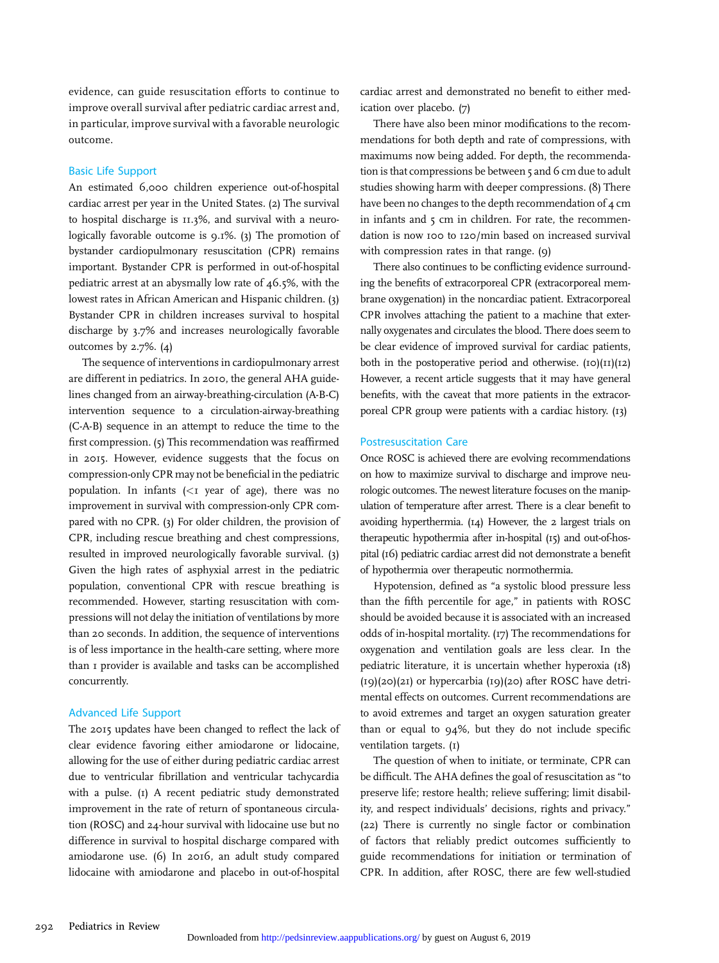evidence, can guide resuscitation efforts to continue to improve overall survival after pediatric cardiac arrest and, in particular, improve survival with a favorable neurologic outcome.

## Basic Life Support

An estimated 6,000 children experience out-of-hospital cardiac arrest per year in the United States. (2) The survival to hospital discharge is 11.3%, and survival with a neurologically favorable outcome is 9.1%. (3) The promotion of bystander cardiopulmonary resuscitation (CPR) remains important. Bystander CPR is performed in out-of-hospital pediatric arrest at an abysmally low rate of 46.5%, with the lowest rates in African American and Hispanic children. (3) Bystander CPR in children increases survival to hospital discharge by 3.7% and increases neurologically favorable outcomes by 2.7%. (4)

The sequence of interventions in cardiopulmonary arrest are different in pediatrics. In 2010, the general AHA guidelines changed from an airway-breathing-circulation (A-B-C) intervention sequence to a circulation-airway-breathing (C-A-B) sequence in an attempt to reduce the time to the first compression. (5) This recommendation was reaffirmed in 2015. However, evidence suggests that the focus on compression-only CPR may not be beneficial in the pediatric population. In infants  $\left($   $\lt$ 1 year of age), there was no improvement in survival with compression-only CPR compared with no CPR. (3) For older children, the provision of CPR, including rescue breathing and chest compressions, resulted in improved neurologically favorable survival. (3) Given the high rates of asphyxial arrest in the pediatric population, conventional CPR with rescue breathing is recommended. However, starting resuscitation with compressions will not delay the initiation of ventilations by more than 20 seconds. In addition, the sequence of interventions is of less importance in the health-care setting, where more than 1 provider is available and tasks can be accomplished concurrently.

#### Advanced Life Support

The 2015 updates have been changed to reflect the lack of clear evidence favoring either amiodarone or lidocaine, allowing for the use of either during pediatric cardiac arrest due to ventricular fibrillation and ventricular tachycardia with a pulse. (1) A recent pediatric study demonstrated improvement in the rate of return of spontaneous circulation (ROSC) and 24-hour survival with lidocaine use but no difference in survival to hospital discharge compared with amiodarone use. (6) In 2016, an adult study compared lidocaine with amiodarone and placebo in out-of-hospital

cardiac arrest and demonstrated no benefit to either medication over placebo. (7)

There have also been minor modifications to the recommendations for both depth and rate of compressions, with maximums now being added. For depth, the recommendation is that compressions be between 5 and 6 cm due to adult studies showing harm with deeper compressions. (8) There have been no changes to the depth recommendation of 4 cm in infants and 5 cm in children. For rate, the recommendation is now 100 to 120/min based on increased survival with compression rates in that range. (9)

There also continues to be conflicting evidence surrounding the benefits of extracorporeal CPR (extracorporeal membrane oxygenation) in the noncardiac patient. Extracorporeal CPR involves attaching the patient to a machine that externally oxygenates and circulates the blood. There does seem to be clear evidence of improved survival for cardiac patients, both in the postoperative period and otherwise.  $(10)(11)(12)$ However, a recent article suggests that it may have general benefits, with the caveat that more patients in the extracorporeal CPR group were patients with a cardiac history. (13)

#### Postresuscitation Care

Once ROSC is achieved there are evolving recommendations on how to maximize survival to discharge and improve neurologic outcomes. The newest literature focuses on the manipulation of temperature after arrest. There is a clear benefit to avoiding hyperthermia. (14) However, the 2 largest trials on therapeutic hypothermia after in-hospital (15) and out-of-hospital (16) pediatric cardiac arrest did not demonstrate a benefit of hypothermia over therapeutic normothermia.

Hypotension, defined as "a systolic blood pressure less than the fifth percentile for age," in patients with ROSC should be avoided because it is associated with an increased odds of in-hospital mortality. (17) The recommendations for oxygenation and ventilation goals are less clear. In the pediatric literature, it is uncertain whether hyperoxia (18) (19)(20)(21) or hypercarbia (19)(20) after ROSC have detrimental effects on outcomes. Current recommendations are to avoid extremes and target an oxygen saturation greater than or equal to  $94\%$ , but they do not include specific ventilation targets. (1)

The question of when to initiate, or terminate, CPR can be difficult. The AHA defines the goal of resuscitation as "to preserve life; restore health; relieve suffering; limit disability, and respect individuals' decisions, rights and privacy." (22) There is currently no single factor or combination of factors that reliably predict outcomes sufficiently to guide recommendations for initiation or termination of CPR. In addition, after ROSC, there are few well-studied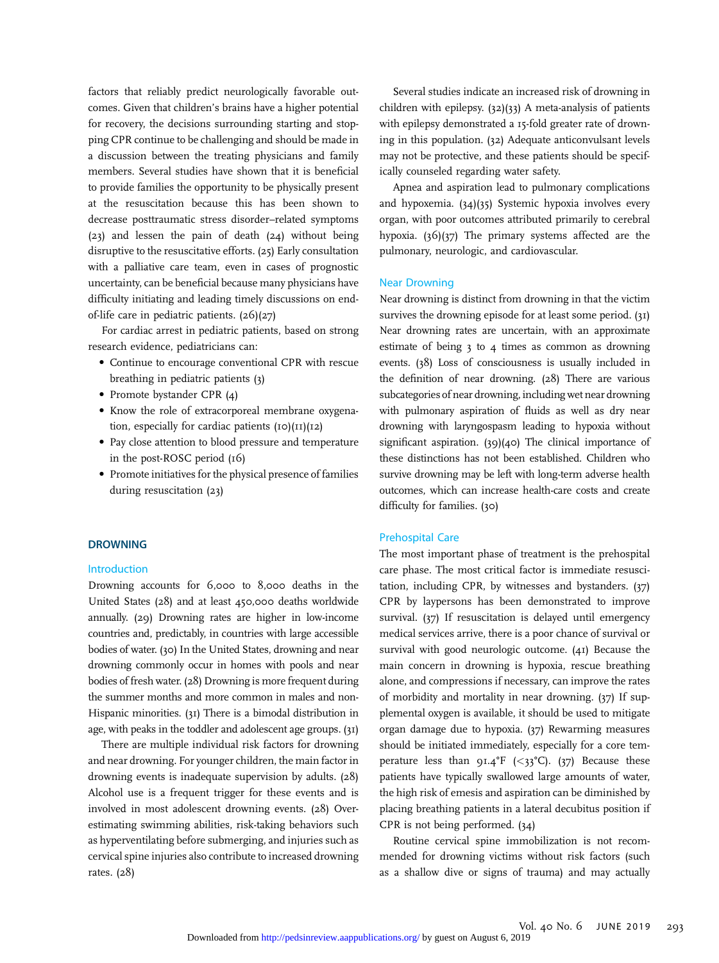factors that reliably predict neurologically favorable outcomes. Given that children's brains have a higher potential for recovery, the decisions surrounding starting and stopping CPR continue to be challenging and should be made in a discussion between the treating physicians and family members. Several studies have shown that it is beneficial to provide families the opportunity to be physically present at the resuscitation because this has been shown to decrease posttraumatic stress disorder–related symptoms (23) and lessen the pain of death (24) without being disruptive to the resuscitative efforts. (25) Early consultation with a palliative care team, even in cases of prognostic uncertainty, can be beneficial because many physicians have difficulty initiating and leading timely discussions on endof-life care in pediatric patients. (26)(27)

For cardiac arrest in pediatric patients, based on strong research evidence, pediatricians can:

- Continue to encourage conventional CPR with rescue breathing in pediatric patients (3)
- Promote bystander CPR (4)
- Know the role of extracorporeal membrane oxygenation, especially for cardiac patients  $(10)(11)(12)$
- Pay close attention to blood pressure and temperature in the post-ROSC period (16)
- Promote initiatives for the physical presence of families during resuscitation (23)

#### **DROWNING**

#### Introduction

Drowning accounts for 6,000 to 8,000 deaths in the United States (28) and at least 450,000 deaths worldwide annually. (29) Drowning rates are higher in low-income countries and, predictably, in countries with large accessible bodies of water. (30) In the United States, drowning and near drowning commonly occur in homes with pools and near bodies of fresh water. (28) Drowning is more frequent during the summer months and more common in males and non-Hispanic minorities. (31) There is a bimodal distribution in age, with peaks in the toddler and adolescent age groups. (31)

There are multiple individual risk factors for drowning and near drowning. For younger children, the main factor in drowning events is inadequate supervision by adults. (28) Alcohol use is a frequent trigger for these events and is involved in most adolescent drowning events. (28) Overestimating swimming abilities, risk-taking behaviors such as hyperventilating before submerging, and injuries such as cervical spine injuries also contribute to increased drowning rates. (28)

Several studies indicate an increased risk of drowning in children with epilepsy. (32)(33) A meta-analysis of patients with epilepsy demonstrated a 15-fold greater rate of drowning in this population. (32) Adequate anticonvulsant levels may not be protective, and these patients should be specifically counseled regarding water safety.

Apnea and aspiration lead to pulmonary complications and hypoxemia. (34)(35) Systemic hypoxia involves every organ, with poor outcomes attributed primarily to cerebral hypoxia. (36)(37) The primary systems affected are the pulmonary, neurologic, and cardiovascular.

#### Near Drowning

Near drowning is distinct from drowning in that the victim survives the drowning episode for at least some period. (31) Near drowning rates are uncertain, with an approximate estimate of being 3 to 4 times as common as drowning events. (38) Loss of consciousness is usually included in the definition of near drowning. (28) There are various subcategories of near drowning, including wet near drowning with pulmonary aspiration of fluids as well as dry near drowning with laryngospasm leading to hypoxia without significant aspiration. (39)(40) The clinical importance of these distinctions has not been established. Children who survive drowning may be left with long-term adverse health outcomes, which can increase health-care costs and create difficulty for families. (30)

#### Prehospital Care

The most important phase of treatment is the prehospital care phase. The most critical factor is immediate resuscitation, including CPR, by witnesses and bystanders. (37) CPR by laypersons has been demonstrated to improve survival. (37) If resuscitation is delayed until emergency medical services arrive, there is a poor chance of survival or survival with good neurologic outcome. (41) Because the main concern in drowning is hypoxia, rescue breathing alone, and compressions if necessary, can improve the rates of morbidity and mortality in near drowning. (37) If supplemental oxygen is available, it should be used to mitigate organ damage due to hypoxia. (37) Rewarming measures should be initiated immediately, especially for a core temperature less than  $QI.4^\circ F$  (<33°C). (37) Because these patients have typically swallowed large amounts of water, the high risk of emesis and aspiration can be diminished by placing breathing patients in a lateral decubitus position if CPR is not being performed. (34)

Routine cervical spine immobilization is not recommended for drowning victims without risk factors (such as a shallow dive or signs of trauma) and may actually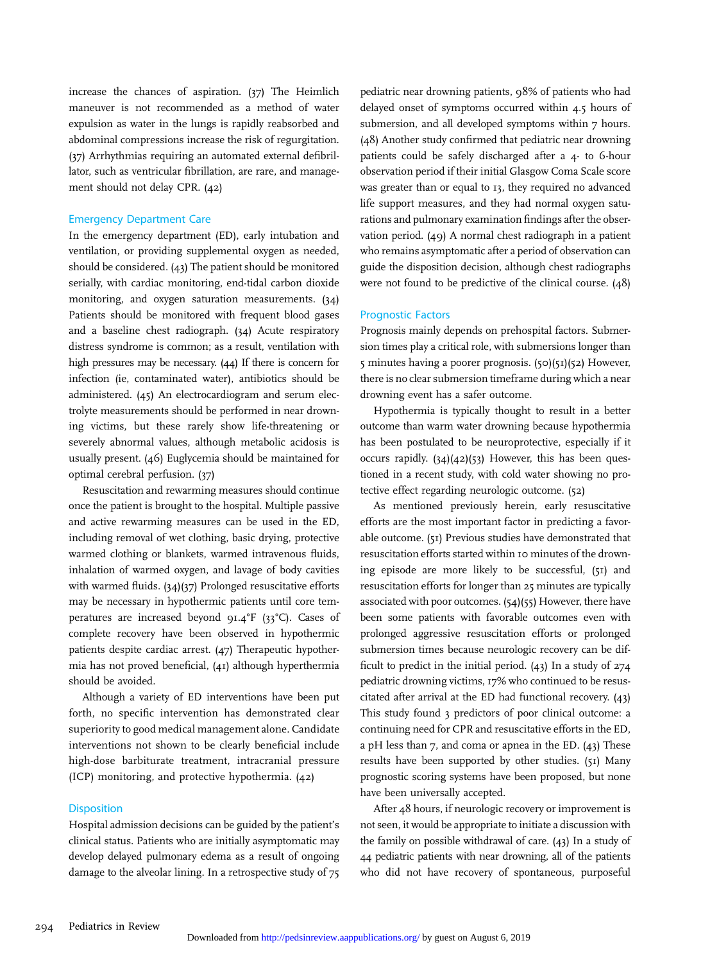increase the chances of aspiration. (37) The Heimlich maneuver is not recommended as a method of water expulsion as water in the lungs is rapidly reabsorbed and abdominal compressions increase the risk of regurgitation. (37) Arrhythmias requiring an automated external defibrillator, such as ventricular fibrillation, are rare, and management should not delay CPR. (42)

#### Emergency Department Care

In the emergency department (ED), early intubation and ventilation, or providing supplemental oxygen as needed, should be considered. (43) The patient should be monitored serially, with cardiac monitoring, end-tidal carbon dioxide monitoring, and oxygen saturation measurements. (34) Patients should be monitored with frequent blood gases and a baseline chest radiograph. (34) Acute respiratory distress syndrome is common; as a result, ventilation with high pressures may be necessary. (44) If there is concern for infection (ie, contaminated water), antibiotics should be administered. (45) An electrocardiogram and serum electrolyte measurements should be performed in near drowning victims, but these rarely show life-threatening or severely abnormal values, although metabolic acidosis is usually present. (46) Euglycemia should be maintained for optimal cerebral perfusion. (37)

Resuscitation and rewarming measures should continue once the patient is brought to the hospital. Multiple passive and active rewarming measures can be used in the ED, including removal of wet clothing, basic drying, protective warmed clothing or blankets, warmed intravenous fluids, inhalation of warmed oxygen, and lavage of body cavities with warmed fluids. (34)(37) Prolonged resuscitative efforts may be necessary in hypothermic patients until core temperatures are increased beyond 91.4°F (33°C). Cases of complete recovery have been observed in hypothermic patients despite cardiac arrest. (47) Therapeutic hypothermia has not proved beneficial, (41) although hyperthermia should be avoided.

Although a variety of ED interventions have been put forth, no specific intervention has demonstrated clear superiority to good medical management alone. Candidate interventions not shown to be clearly beneficial include high-dose barbiturate treatment, intracranial pressure (ICP) monitoring, and protective hypothermia. (42)

#### **Disposition**

Hospital admission decisions can be guided by the patient's clinical status. Patients who are initially asymptomatic may develop delayed pulmonary edema as a result of ongoing damage to the alveolar lining. In a retrospective study of  $75$ 

pediatric near drowning patients, 98% of patients who had delayed onset of symptoms occurred within 4.5 hours of submersion, and all developed symptoms within 7 hours. (48) Another study confirmed that pediatric near drowning patients could be safely discharged after a 4- to 6-hour observation period if their initial Glasgow Coma Scale score was greater than or equal to 13, they required no advanced life support measures, and they had normal oxygen saturations and pulmonary examination findings after the observation period. (49) A normal chest radiograph in a patient who remains asymptomatic after a period of observation can guide the disposition decision, although chest radiographs were not found to be predictive of the clinical course. (48)

#### Prognostic Factors

Prognosis mainly depends on prehospital factors. Submersion times play a critical role, with submersions longer than 5 minutes having a poorer prognosis. (50)(51)(52) However, there is no clear submersion timeframe during which a near drowning event has a safer outcome.

Hypothermia is typically thought to result in a better outcome than warm water drowning because hypothermia has been postulated to be neuroprotective, especially if it occurs rapidly.  $(34)(42)(53)$  However, this has been questioned in a recent study, with cold water showing no protective effect regarding neurologic outcome. (52)

As mentioned previously herein, early resuscitative efforts are the most important factor in predicting a favorable outcome. (51) Previous studies have demonstrated that resuscitation efforts started within 10 minutes of the drowning episode are more likely to be successful, (51) and resuscitation efforts for longer than 25 minutes are typically associated with poor outcomes. (54)(55) However, there have been some patients with favorable outcomes even with prolonged aggressive resuscitation efforts or prolonged submersion times because neurologic recovery can be difficult to predict in the initial period. (43) In a study of 274 pediatric drowning victims, 17% who continued to be resuscitated after arrival at the ED had functional recovery. (43) This study found 3 predictors of poor clinical outcome: a continuing need for CPR and resuscitative efforts in the ED, a pH less than 7, and coma or apnea in the ED. (43) These results have been supported by other studies. (51) Many prognostic scoring systems have been proposed, but none have been universally accepted.

After 48 hours, if neurologic recovery or improvement is not seen, it would be appropriate to initiate a discussion with the family on possible withdrawal of care. (43) In a study of 44 pediatric patients with near drowning, all of the patients who did not have recovery of spontaneous, purposeful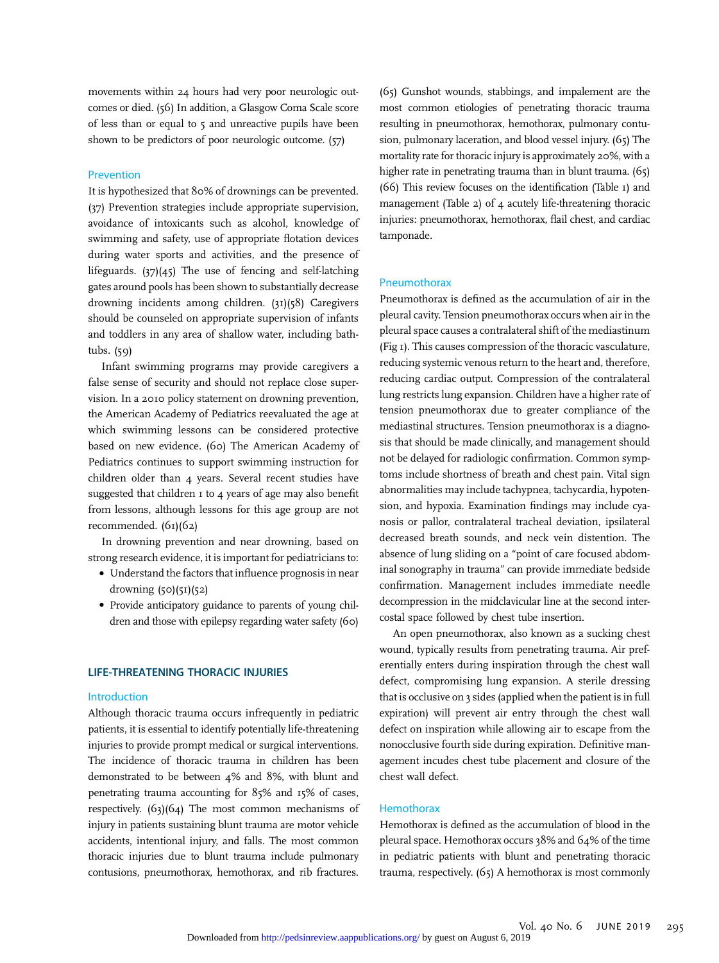movements within 24 hours had very poor neurologic outcomes or died. (56) In addition, a Glasgow Coma Scale score of less than or equal to 5 and unreactive pupils have been shown to be predictors of poor neurologic outcome. (57)

#### Prevention

It is hypothesized that 80% of drownings can be prevented. (37) Prevention strategies include appropriate supervision, avoidance of intoxicants such as alcohol, knowledge of swimming and safety, use of appropriate flotation devices during water sports and activities, and the presence of lifeguards. (37)(45) The use of fencing and self-latching gates around pools has been shown to substantially decrease drowning incidents among children. (31)(58) Caregivers should be counseled on appropriate supervision of infants and toddlers in any area of shallow water, including bathtubs. (59)

Infant swimming programs may provide caregivers a false sense of security and should not replace close supervision. In a 2010 policy statement on drowning prevention, the American Academy of Pediatrics reevaluated the age at which swimming lessons can be considered protective based on new evidence. (60) The American Academy of Pediatrics continues to support swimming instruction for children older than 4 years. Several recent studies have suggested that children I to 4 years of age may also benefit from lessons, although lessons for this age group are not recommended. (61)(62)

In drowning prevention and near drowning, based on strong research evidence, it is important for pediatricians to:

- Understand the factors that influence prognosis in near drowning (50)(51)(52)
- Provide anticipatory guidance to parents of young children and those with epilepsy regarding water safety (60)

### LIFE-THREATENING THORACIC INJURIES

#### Introduction

Although thoracic trauma occurs infrequently in pediatric patients, it is essential to identify potentially life-threatening injuries to provide prompt medical or surgical interventions. The incidence of thoracic trauma in children has been demonstrated to be between 4% and 8%, with blunt and penetrating trauma accounting for 85% and 15% of cases, respectively. (63)(64) The most common mechanisms of injury in patients sustaining blunt trauma are motor vehicle accidents, intentional injury, and falls. The most common thoracic injuries due to blunt trauma include pulmonary contusions, pneumothorax, hemothorax, and rib fractures.

(65) Gunshot wounds, stabbings, and impalement are the most common etiologies of penetrating thoracic trauma resulting in pneumothorax, hemothorax, pulmonary contusion, pulmonary laceration, and blood vessel injury. (65) The mortality rate for thoracic injury is approximately 20%, with a higher rate in penetrating trauma than in blunt trauma. (65) (66) This review focuses on the identification (Table 1) and management (Table 2) of 4 acutely life-threatening thoracic injuries: pneumothorax, hemothorax, flail chest, and cardiac tamponade.

#### **Pneumothorax**

Pneumothorax is defined as the accumulation of air in the pleural cavity. Tension pneumothorax occurs when air in the pleural space causes a contralateral shift of the mediastinum (Fig 1). This causes compression of the thoracic vasculature, reducing systemic venous return to the heart and, therefore, reducing cardiac output. Compression of the contralateral lung restricts lung expansion. Children have a higher rate of tension pneumothorax due to greater compliance of the mediastinal structures. Tension pneumothorax is a diagnosis that should be made clinically, and management should not be delayed for radiologic confirmation. Common symptoms include shortness of breath and chest pain. Vital sign abnormalities may include tachypnea, tachycardia, hypotension, and hypoxia. Examination findings may include cyanosis or pallor, contralateral tracheal deviation, ipsilateral decreased breath sounds, and neck vein distention. The absence of lung sliding on a "point of care focused abdominal sonography in trauma" can provide immediate bedside confirmation. Management includes immediate needle decompression in the midclavicular line at the second intercostal space followed by chest tube insertion.

An open pneumothorax, also known as a sucking chest wound, typically results from penetrating trauma. Air preferentially enters during inspiration through the chest wall defect, compromising lung expansion. A sterile dressing that is occlusive on 3 sides (applied when the patient is in full expiration) will prevent air entry through the chest wall defect on inspiration while allowing air to escape from the nonocclusive fourth side during expiration. Definitive management incudes chest tube placement and closure of the chest wall defect.

#### **Hemothorax**

Hemothorax is defined as the accumulation of blood in the pleural space. Hemothorax occurs 38% and 64% of the time in pediatric patients with blunt and penetrating thoracic trauma, respectively. (65) A hemothorax is most commonly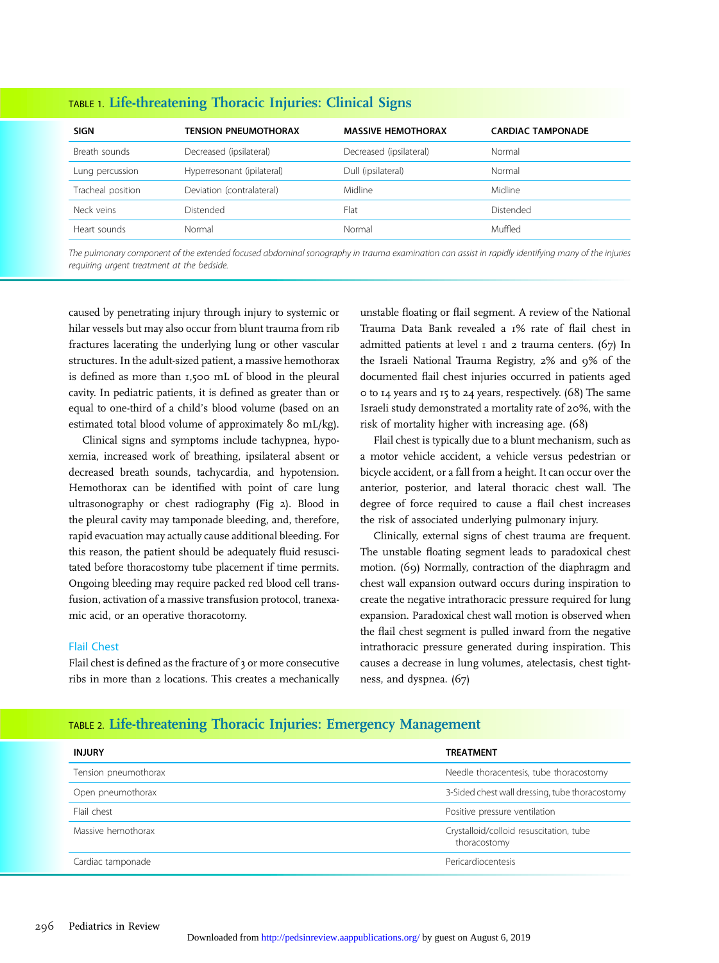| <b>SIGN</b>       | TENSION PNEUMOTHORAX       | <b>MASSIVE HEMOTHORAX</b> | <b>CARDIAC TAMPONADE</b> |
|-------------------|----------------------------|---------------------------|--------------------------|
| Breath sounds     | Decreased (ipsilateral)    | Decreased (ipsilateral)   | Normal                   |
| Lung percussion   | Hyperresonant (ipilateral) | Dull (ipsilateral)        | Normal                   |
| Tracheal position | Deviation (contralateral)  | Midline                   | Midline                  |
| Neck veins        | <b>Distended</b>           | Flat                      | Distended                |
| Heart sounds      | Normal                     | Normal                    | Muffled                  |
|                   |                            |                           |                          |

TABLE 1. Life-threatening Thoracic Injuries: Clinical Signs

The pulmonary component of the extended focused abdominal sonography in trauma examination can assist in rapidly identifying many of the injuries requiring urgent treatment at the bedside.

caused by penetrating injury through injury to systemic or hilar vessels but may also occur from blunt trauma from rib fractures lacerating the underlying lung or other vascular structures. In the adult-sized patient, a massive hemothorax is defined as more than 1,500 mL of blood in the pleural cavity. In pediatric patients, it is defined as greater than or equal to one-third of a child's blood volume (based on an estimated total blood volume of approximately 80 mL/kg).

Clinical signs and symptoms include tachypnea, hypoxemia, increased work of breathing, ipsilateral absent or decreased breath sounds, tachycardia, and hypotension. Hemothorax can be identified with point of care lung ultrasonography or chest radiography (Fig 2). Blood in the pleural cavity may tamponade bleeding, and, therefore, rapid evacuation may actually cause additional bleeding. For this reason, the patient should be adequately fluid resuscitated before thoracostomy tube placement if time permits. Ongoing bleeding may require packed red blood cell transfusion, activation of a massive transfusion protocol, tranexamic acid, or an operative thoracotomy.

#### Flail Chest

Flail chest is defined as the fracture of 3 or more consecutive ribs in more than 2 locations. This creates a mechanically unstable floating or flail segment. A review of the National Trauma Data Bank revealed a 1% rate of flail chest in admitted patients at level  $I$  and  $2$  trauma centers. (67) In the Israeli National Trauma Registry, 2% and 9% of the documented flail chest injuries occurred in patients aged 0 to 14 years and 15 to 24 years, respectively. (68) The same Israeli study demonstrated a mortality rate of 20%, with the risk of mortality higher with increasing age. (68)

Flail chest is typically due to a blunt mechanism, such as a motor vehicle accident, a vehicle versus pedestrian or bicycle accident, or a fall from a height. It can occur over the anterior, posterior, and lateral thoracic chest wall. The degree of force required to cause a flail chest increases the risk of associated underlying pulmonary injury.

Clinically, external signs of chest trauma are frequent. The unstable floating segment leads to paradoxical chest motion. (69) Normally, contraction of the diaphragm and chest wall expansion outward occurs during inspiration to create the negative intrathoracic pressure required for lung expansion. Paradoxical chest wall motion is observed when the flail chest segment is pulled inward from the negative intrathoracic pressure generated during inspiration. This causes a decrease in lung volumes, atelectasis, chest tightness, and dyspnea. (67)

## TABLE 2. Life-threatening Thoracic Injuries: Emergency Management

| <b>INJURY</b>        | <b>TREATMENT</b>                                        |
|----------------------|---------------------------------------------------------|
| Tension pneumothorax | Needle thoracentesis, tube thoracostomy                 |
| Open pneumothorax    | 3-Sided chest wall dressing, tube thoracostomy          |
| Flail chest          | Positive pressure ventilation                           |
| Massive hemothorax   | Crystalloid/colloid resuscitation, tube<br>thoracostomy |
| Cardiac tamponade    | Pericardiocentesis                                      |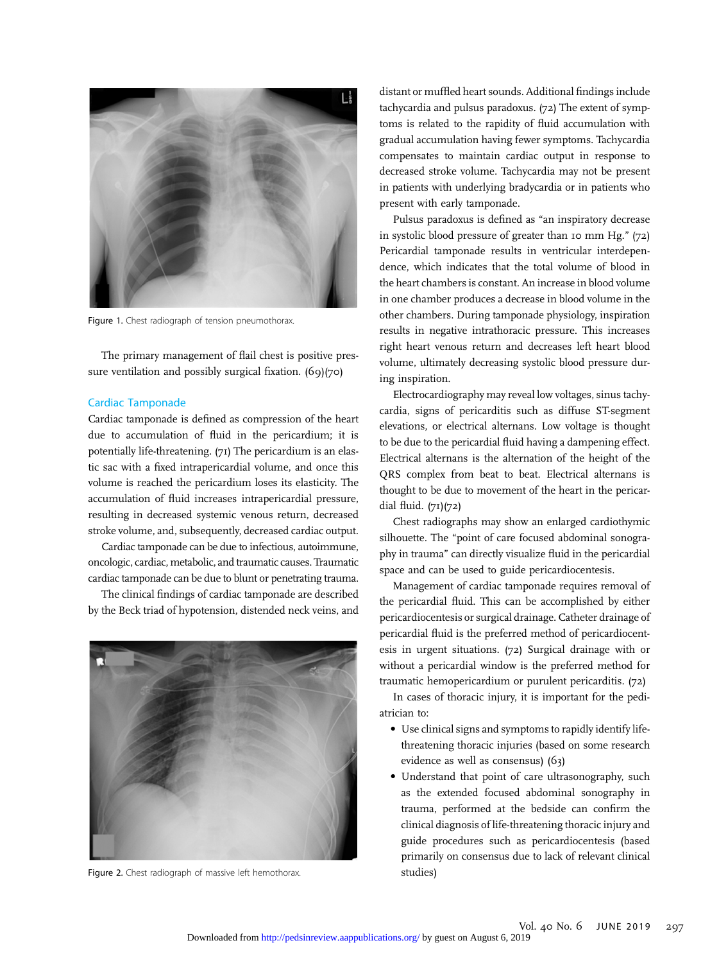

Figure 1. Chest radiograph of tension pneumothorax.

The primary management of flail chest is positive pressure ventilation and possibly surgical fixation. (69)(70)

#### Cardiac Tamponade

Cardiac tamponade is defined as compression of the heart due to accumulation of fluid in the pericardium; it is potentially life-threatening. (71) The pericardium is an elastic sac with a fixed intrapericardial volume, and once this volume is reached the pericardium loses its elasticity. The accumulation of fluid increases intrapericardial pressure, resulting in decreased systemic venous return, decreased stroke volume, and, subsequently, decreased cardiac output.

Cardiac tamponade can be due to infectious, autoimmune, oncologic, cardiac, metabolic, and traumatic causes. Traumatic cardiac tamponade can be due to blunt or penetrating trauma.

The clinical findings of cardiac tamponade are described by the Beck triad of hypotension, distended neck veins, and



Figure 2. Chest radiograph of massive left hemothorax.

distant or muffled heart sounds. Additional findings include tachycardia and pulsus paradoxus. (72) The extent of symptoms is related to the rapidity of fluid accumulation with gradual accumulation having fewer symptoms. Tachycardia compensates to maintain cardiac output in response to decreased stroke volume. Tachycardia may not be present in patients with underlying bradycardia or in patients who present with early tamponade.

Pulsus paradoxus is defined as "an inspiratory decrease in systolic blood pressure of greater than 10 mm Hg." (72) Pericardial tamponade results in ventricular interdependence, which indicates that the total volume of blood in the heart chambers is constant. An increase in blood volume in one chamber produces a decrease in blood volume in the other chambers. During tamponade physiology, inspiration results in negative intrathoracic pressure. This increases right heart venous return and decreases left heart blood volume, ultimately decreasing systolic blood pressure during inspiration.

Electrocardiography may reveal low voltages, sinus tachycardia, signs of pericarditis such as diffuse ST-segment elevations, or electrical alternans. Low voltage is thought to be due to the pericardial fluid having a dampening effect. Electrical alternans is the alternation of the height of the QRS complex from beat to beat. Electrical alternans is thought to be due to movement of the heart in the pericardial fluid. (71)(72)

Chest radiographs may show an enlarged cardiothymic silhouette. The "point of care focused abdominal sonography in trauma" can directly visualize fluid in the pericardial space and can be used to guide pericardiocentesis.

Management of cardiac tamponade requires removal of the pericardial fluid. This can be accomplished by either pericardiocentesis or surgical drainage. Catheter drainage of pericardial fluid is the preferred method of pericardiocentesis in urgent situations. (72) Surgical drainage with or without a pericardial window is the preferred method for traumatic hemopericardium or purulent pericarditis. (72)

In cases of thoracic injury, it is important for the pediatrician to:

- Use clinical signs and symptoms to rapidly identify lifethreatening thoracic injuries (based on some research evidence as well as consensus) (63)
- Understand that point of care ultrasonography, such as the extended focused abdominal sonography in trauma, performed at the bedside can confirm the clinical diagnosis of life-threatening thoracic injury and guide procedures such as pericardiocentesis (based primarily on consensus due to lack of relevant clinical studies)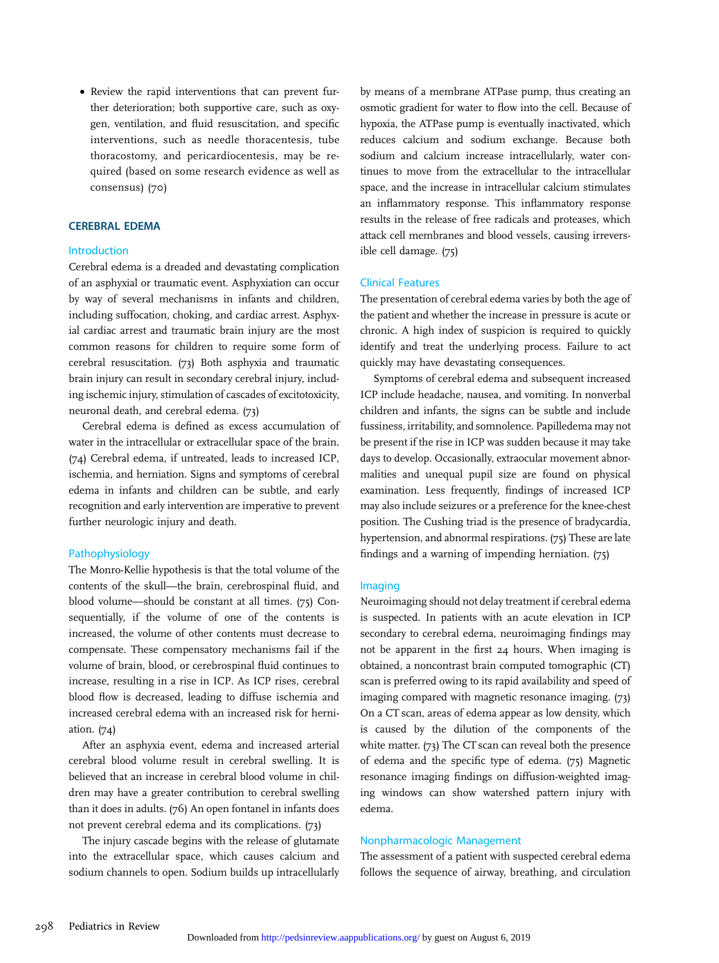• Review the rapid interventions that can prevent further deterioration; both supportive care, such as oxygen, ventilation, and fluid resuscitation, and specific interventions, such as needle thoracentesis, tube thoracostomy, and pericardiocentesis, may be required (based on some research evidence as well as consensus) (70)

#### CEREBRAL EDEMA

#### Introduction

Cerebral edema is a dreaded and devastating complication of an asphyxial or traumatic event. Asphyxiation can occur by way of several mechanisms in infants and children, including suffocation, choking, and cardiac arrest. Asphyxial cardiac arrest and traumatic brain injury are the most common reasons for children to require some form of cerebral resuscitation. (73) Both asphyxia and traumatic brain injury can result in secondary cerebral injury, including ischemic injury, stimulation of cascades of excitotoxicity, neuronal death, and cerebral edema. (73)

Cerebral edema is defined as excess accumulation of water in the intracellular or extracellular space of the brain. (74) Cerebral edema, if untreated, leads to increased ICP, ischemia, and herniation. Signs and symptoms of cerebral edema in infants and children can be subtle, and early recognition and early intervention are imperative to prevent further neurologic injury and death.

#### Pathophysiology

The Monro-Kellie hypothesis is that the total volume of the contents of the skull—the brain, cerebrospinal fluid, and blood volume—should be constant at all times. (75) Consequentially, if the volume of one of the contents is increased, the volume of other contents must decrease to compensate. These compensatory mechanisms fail if the volume of brain, blood, or cerebrospinal fluid continues to increase, resulting in a rise in ICP. As ICP rises, cerebral blood flow is decreased, leading to diffuse ischemia and increased cerebral edema with an increased risk for herniation. (74)

After an asphyxia event, edema and increased arterial cerebral blood volume result in cerebral swelling. It is believed that an increase in cerebral blood volume in children may have a greater contribution to cerebral swelling than it does in adults. (76) An open fontanel in infants does not prevent cerebral edema and its complications. (73)

The injury cascade begins with the release of glutamate into the extracellular space, which causes calcium and sodium channels to open. Sodium builds up intracellularly by means of a membrane ATPase pump, thus creating an osmotic gradient for water to flow into the cell. Because of hypoxia, the ATPase pump is eventually inactivated, which reduces calcium and sodium exchange. Because both sodium and calcium increase intracellularly, water continues to move from the extracellular to the intracellular space, and the increase in intracellular calcium stimulates an inflammatory response. This inflammatory response results in the release of free radicals and proteases, which attack cell membranes and blood vessels, causing irreversible cell damage. (75)

#### Clinical Features

The presentation of cerebral edema varies by both the age of the patient and whether the increase in pressure is acute or chronic. A high index of suspicion is required to quickly identify and treat the underlying process. Failure to act quickly may have devastating consequences.

Symptoms of cerebral edema and subsequent increased ICP include headache, nausea, and vomiting. In nonverbal children and infants, the signs can be subtle and include fussiness, irritability, and somnolence. Papilledema may not be present if the rise in ICP was sudden because it may take days to develop. Occasionally, extraocular movement abnormalities and unequal pupil size are found on physical examination. Less frequently, findings of increased ICP may also include seizures or a preference for the knee-chest position. The Cushing triad is the presence of bradycardia, hypertension, and abnormal respirations. (75) These are late findings and a warning of impending herniation. (75)

#### Imaging

Neuroimaging should not delay treatment if cerebral edema is suspected. In patients with an acute elevation in ICP secondary to cerebral edema, neuroimaging findings may not be apparent in the first 24 hours. When imaging is obtained, a noncontrast brain computed tomographic (CT) scan is preferred owing to its rapid availability and speed of imaging compared with magnetic resonance imaging. (73) On a CT scan, areas of edema appear as low density, which is caused by the dilution of the components of the white matter. (73) The CT scan can reveal both the presence of edema and the specific type of edema. (75) Magnetic resonance imaging findings on diffusion-weighted imaging windows can show watershed pattern injury with edema.

#### Nonpharmacologic Management

The assessment of a patient with suspected cerebral edema follows the sequence of airway, breathing, and circulation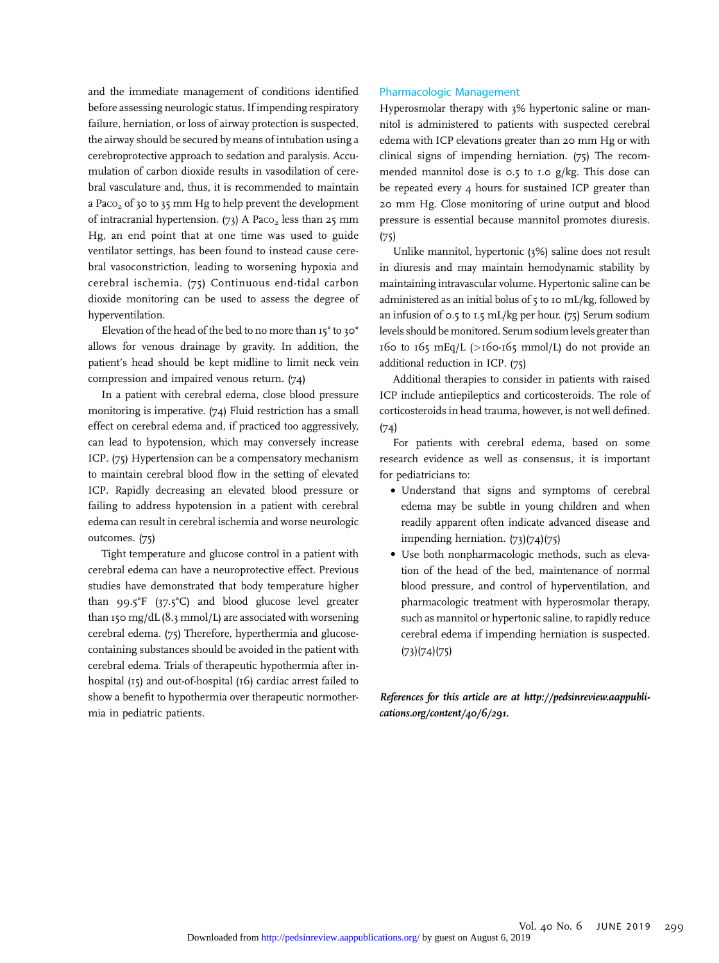and the immediate management of conditions identified before assessing neurologic status. If impending respiratory failure, herniation, or loss of airway protection is suspected, the airway should be secured by means of intubation using a cerebroprotective approach to sedation and paralysis. Accumulation of carbon dioxide results in vasodilation of cerebral vasculature and, thus, it is recommended to maintain a Paco<sub>2</sub> of 30 to 35 mm Hg to help prevent the development of intracranial hypertension. (73) A Paco<sub>2</sub> less than 25 mm Hg, an end point that at one time was used to guide ventilator settings, has been found to instead cause cerebral vasoconstriction, leading to worsening hypoxia and cerebral ischemia. (75) Continuous end-tidal carbon dioxide monitoring can be used to assess the degree of hyperventilation.

Elevation of the head of the bed to no more than 15° to 30° allows for venous drainage by gravity. In addition, the patient's head should be kept midline to limit neck vein compression and impaired venous return. (74)

In a patient with cerebral edema, close blood pressure monitoring is imperative. (74) Fluid restriction has a small effect on cerebral edema and, if practiced too aggressively, can lead to hypotension, which may conversely increase ICP. (75) Hypertension can be a compensatory mechanism to maintain cerebral blood flow in the setting of elevated ICP. Rapidly decreasing an elevated blood pressure or failing to address hypotension in a patient with cerebral edema can result in cerebral ischemia and worse neurologic outcomes. (75)

Tight temperature and glucose control in a patient with cerebral edema can have a neuroprotective effect. Previous studies have demonstrated that body temperature higher than 99.5°F (37.5°C) and blood glucose level greater than 150 mg/dL (8.3 mmol/L) are associated with worsening cerebral edema. (75) Therefore, hyperthermia and glucosecontaining substances should be avoided in the patient with cerebral edema. Trials of therapeutic hypothermia after inhospital (15) and out-of-hospital (16) cardiac arrest failed to show a benefit to hypothermia over therapeutic normothermia in pediatric patients.

#### Pharmacologic Management

Hyperosmolar therapy with 3% hypertonic saline or mannitol is administered to patients with suspected cerebral edema with ICP elevations greater than 20 mm Hg or with clinical signs of impending herniation. (75) The recommended mannitol dose is 0.5 to 1.0 g/kg. This dose can be repeated every 4 hours for sustained ICP greater than 20 mm Hg. Close monitoring of urine output and blood pressure is essential because mannitol promotes diuresis.  $(75)$ 

Unlike mannitol, hypertonic (3%) saline does not result in diuresis and may maintain hemodynamic stability by maintaining intravascular volume. Hypertonic saline can be administered as an initial bolus of 5 to 10 mL/kg, followed by an infusion of 0.5 to 1.5 mL/kg per hour. (75) Serum sodium levels should be monitored. Serum sodium levels greater than 160 to 165 mEq/L (>160-165 mmol/L) do not provide an additional reduction in ICP. (75)

Additional therapies to consider in patients with raised ICP include antiepileptics and corticosteroids. The role of corticosteroids in head trauma, however, is not well defined.  $(74)$ 

For patients with cerebral edema, based on some research evidence as well as consensus, it is important for pediatricians to:

- Understand that signs and symptoms of cerebral edema may be subtle in young children and when readily apparent often indicate advanced disease and impending herniation. (73)(74)(75)
- Use both nonpharmacologic methods, such as elevation of the head of the bed, maintenance of normal blood pressure, and control of hyperventilation, and pharmacologic treatment with hyperosmolar therapy, such as mannitol or hypertonic saline, to rapidly reduce cerebral edema if impending herniation is suspected. (73)(74)(75)

References for this article are at [http://pedsinreview.aappubli](http://pedsinreview.aappublications.org/content/40/6/291)[cations.org/content/40/6/291.](http://pedsinreview.aappublications.org/content/40/6/291)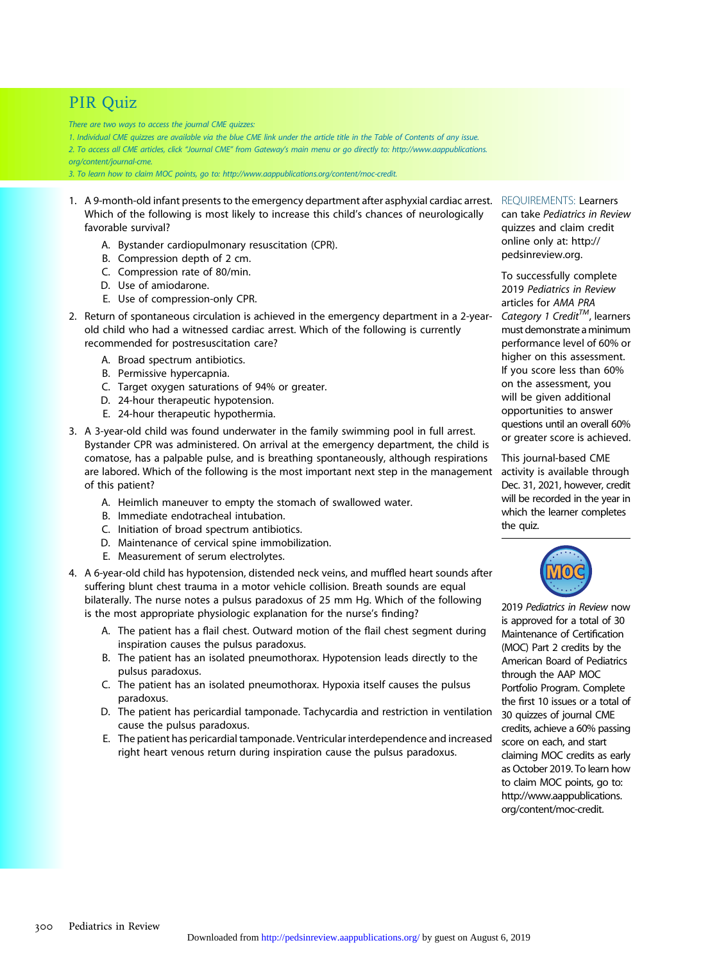# PIR Quiz

There are two ways to access the journal CME quizzes:

1. Individual CME quizzes are available via the blue CME link under the article title in the Table of Contents of any issue. 2. To access all CME articles, click "Journal CME" from Gateway's main menu or go directly to: [http://www.aappublications.](http://www.aappublications.org/content/journal-cme) [org/content/journal-cme.](http://www.aappublications.org/content/journal-cme)

3. To learn how to claim MOC points, go to: [http://www.aappublications.org/content/moc-credit.](http://www.aappublications.org/content/moc-credit)

- 1. A 9-month-old infant presents to the emergency department after asphyxial cardiac arrest. REQUIREMENTS: Learners Which of the following is most likely to increase this child's chances of neurologically favorable survival?
	- A. Bystander cardiopulmonary resuscitation (CPR).
	- B. Compression depth of 2 cm.
	- C. Compression rate of 80/min.
	- D. Use of amiodarone.
	- E. Use of compression-only CPR.
- 2. Return of spontaneous circulation is achieved in the emergency department in a 2-yearold child who had a witnessed cardiac arrest. Which of the following is currently recommended for postresuscitation care?
	- A. Broad spectrum antibiotics.
	- B. Permissive hypercapnia.
	- C. Target oxygen saturations of 94% or greater.
	- D. 24-hour therapeutic hypotension.
	- E. 24-hour therapeutic hypothermia.
- 3. A 3-year-old child was found underwater in the family swimming pool in full arrest. Bystander CPR was administered. On arrival at the emergency department, the child is comatose, has a palpable pulse, and is breathing spontaneously, although respirations are labored. Which of the following is the most important next step in the management of this patient?
	- A. Heimlich maneuver to empty the stomach of swallowed water.
	- B. Immediate endotracheal intubation.
	- C. Initiation of broad spectrum antibiotics.
	- D. Maintenance of cervical spine immobilization.
	- E. Measurement of serum electrolytes.
- 4. A 6-year-old child has hypotension, distended neck veins, and muffled heart sounds after suffering blunt chest trauma in a motor vehicle collision. Breath sounds are equal bilaterally. The nurse notes a pulsus paradoxus of 25 mm Hg. Which of the following is the most appropriate physiologic explanation for the nurse's finding?
	- A. The patient has a flail chest. Outward motion of the flail chest segment during inspiration causes the pulsus paradoxus.
	- B. The patient has an isolated pneumothorax. Hypotension leads directly to the pulsus paradoxus.
	- C. The patient has an isolated pneumothorax. Hypoxia itself causes the pulsus paradoxus.
	- D. The patient has pericardial tamponade. Tachycardia and restriction in ventilation cause the pulsus paradoxus.
	- E. The patient has pericardial tamponade. Ventricular interdependence and increased right heart venous return during inspiration cause the pulsus paradoxus.

can take Pediatrics in Review

quizzes and claim credit online only at: [http://](http://pedsinreview.org) [pedsinreview.org](http://pedsinreview.org).

To successfully complete 2019 Pediatrics in Review articles for AMA PRA Category 1 Credit<sup>TM</sup>, learners must demonstrate aminimum performance level of 60% or higher on this assessment. If you score less than 60% on the assessment, you will be given additional opportunities to answer questions until an overall 60% or greater score is achieved.

This journal-based CME activity is available through Dec. 31, 2021, however, credit will be recorded in the year in which the learner completes the quiz.



2019 Pediatrics in Review now is approved for a total of 30 Maintenance of Certification (MOC) Part 2 credits by the American Board of Pediatrics through the AAP MOC Portfolio Program. Complete the first 10 issues or a total of 30 quizzes of journal CME credits, achieve a 60% passing score on each, and start claiming MOC credits as early as October 2019. To learn how to claim MOC points, go to: [http://www.aappublications.](http://www.aappublications.org/content/moc-credit) [org/content/moc-credit.](http://www.aappublications.org/content/moc-credit)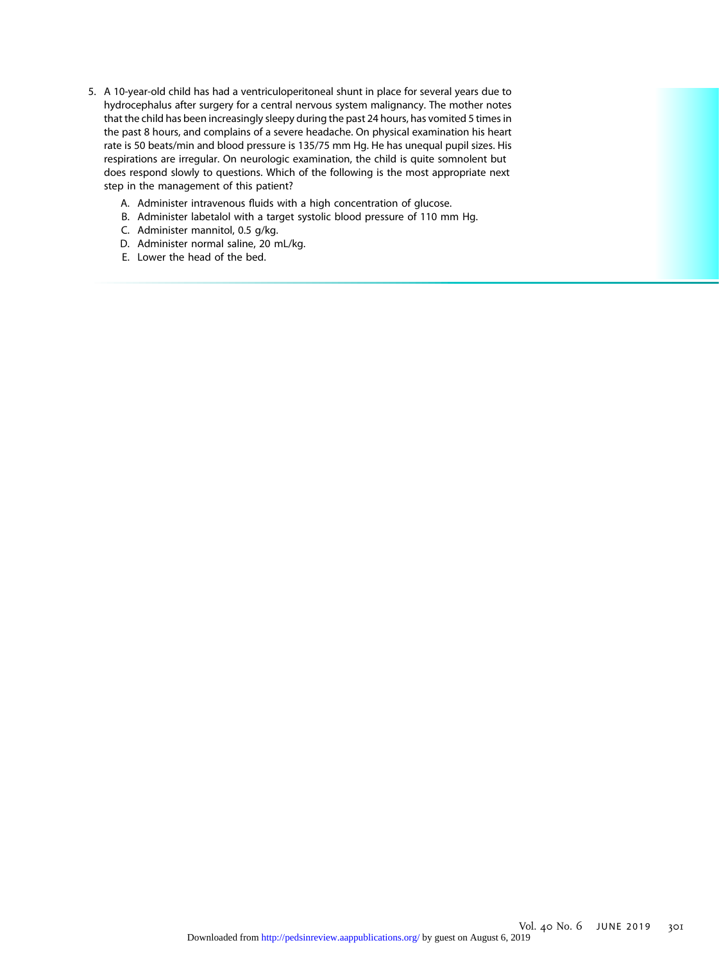- 5. A 10-year-old child has had a ventriculoperitoneal shunt in place for several years due to hydrocephalus after surgery for a central nervous system malignancy. The mother notes that the child has been increasingly sleepy during the past 24 hours, has vomited 5 times in the past 8 hours, and complains of a severe headache. On physical examination his heart rate is 50 beats/min and blood pressure is 135/75 mm Hg. He has unequal pupil sizes. His respirations are irregular. On neurologic examination, the child is quite somnolent but does respond slowly to questions. Which of the following is the most appropriate next step in the management of this patient?
	- A. Administer intravenous fluids with a high concentration of glucose.
	- B. Administer labetalol with a target systolic blood pressure of 110 mm Hg.
	- C. Administer mannitol, 0.5 g/kg.
	- D. Administer normal saline, 20 mL/kg.
	- E. Lower the head of the bed.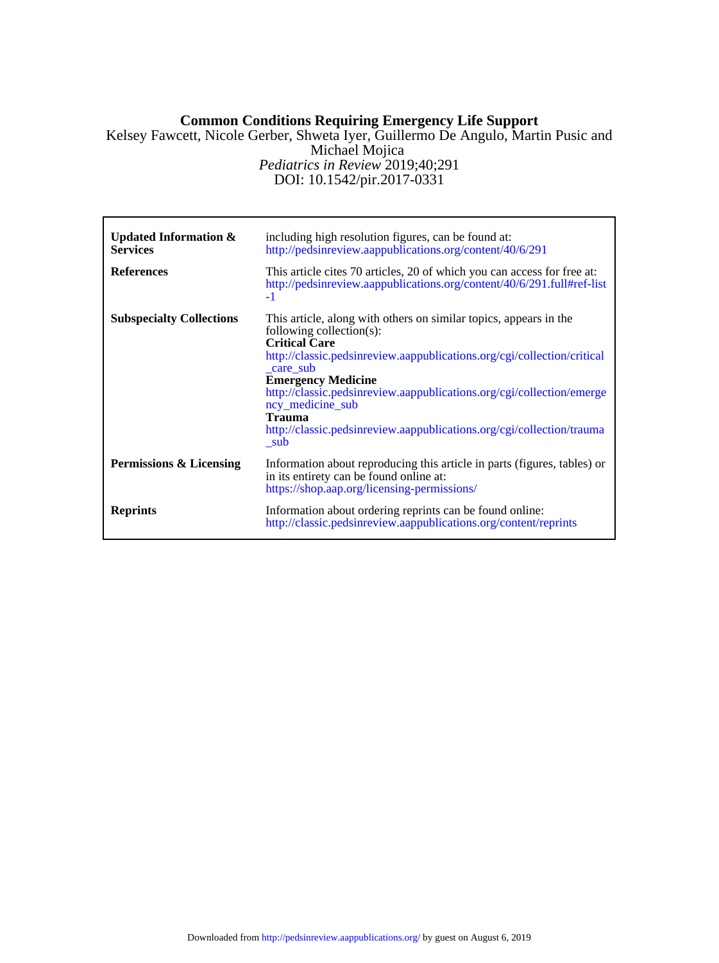## **Common Conditions Requiring Emergency Life Support**

DOI: 10.1542/pir.2017-0331 *Pediatrics in Review* 2019;40;291 Michael Mojica Kelsey Fawcett, Nicole Gerber, Shweta Iyer, Guillermo De Angulo, Martin Pusic and

| <b>Updated Information &amp;</b><br><b>Services</b> | including high resolution figures, can be found at:<br>http://pedsinreview.aappublications.org/content/40/6/291                                                                                                                                                                                                                                                                                                                         |
|-----------------------------------------------------|-----------------------------------------------------------------------------------------------------------------------------------------------------------------------------------------------------------------------------------------------------------------------------------------------------------------------------------------------------------------------------------------------------------------------------------------|
| <b>References</b>                                   | This article cites 70 articles, 20 of which you can access for free at:<br>http://pedsinreview.aappublications.org/content/40/6/291.full#ref-list<br>-1                                                                                                                                                                                                                                                                                 |
| <b>Subspecialty Collections</b>                     | This article, along with others on similar topics, appears in the<br>following collection(s):<br><b>Critical Care</b><br>http://classic.pedsinreview.aappublications.org/cgi/collection/critical<br>care sub<br><b>Emergency Medicine</b><br>http://classic.pedsinreview.aappublications.org/cgi/collection/emerge<br>ncy_medicine_sub<br><b>Trauma</b><br>http://classic.pedsinreview.aappublications.org/cgi/collection/trauma<br>sub |
| Permissions & Licensing                             | Information about reproducing this article in parts (figures, tables) or<br>in its entirety can be found online at:<br>https://shop.aap.org/licensing-permissions/                                                                                                                                                                                                                                                                      |
| <b>Reprints</b>                                     | Information about ordering reprints can be found online:<br>http://classic.pedsinreview.aappublications.org/content/reprints                                                                                                                                                                                                                                                                                                            |